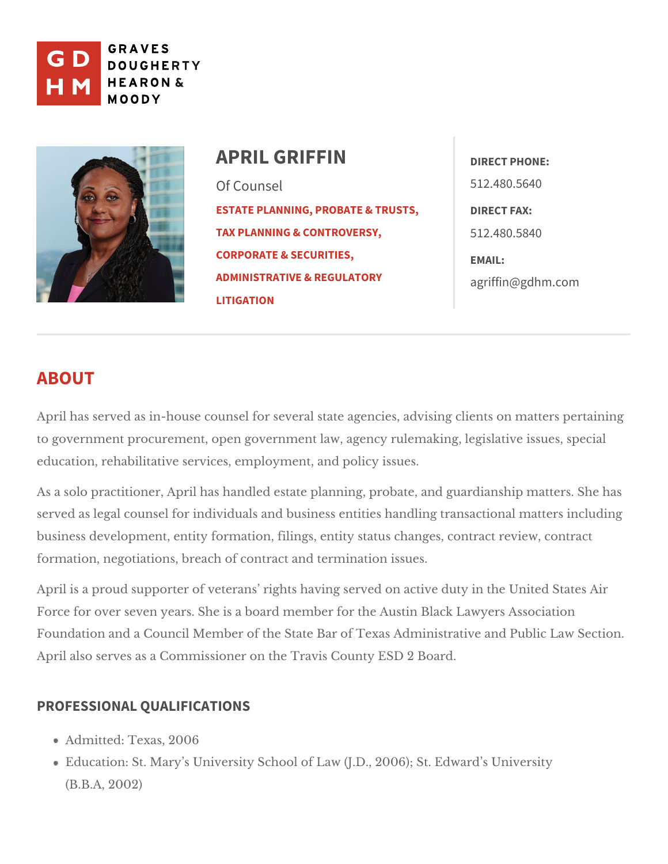

APRIL GRIFFIN Of Counsel [ESTATE PLANNING, PROB](https://www.gdhm.com/practice-areas/estate-planning-tax-probate/)ATE & TIRRELISTIFS AX: [TAX PLANNING & CO](https://www.gdhm.com/practice-areas/federal-tax-planning-controversy/)NTROVERS5Y12.480.5840 [CORPORATE & SE](https://www.gdhm.com/practice-areas/corporate-securities/)CURITIES, [ADMINISTRATIVE & R](https://www.gdhm.com/practice-areas/administrative-regulatory-litigation/)EGULATO & Striffin @gdhm.com [LITIGA](https://www.gdhm.com/practice-areas/administrative-regulatory-litigation/)TION DIRECT PHONE: 512.480.5640 EMAIL:

## ABOUT

April has served as in-house counsel for several state agencies, advising cli to government procurement, open government law, agency rulemaking, legisla education, rehabilitative services, empooloiycm, einst, u and

As a solo practitioner, April has handled estate planning, probate, and guard served as legal counsel for individuals and business entities handling transa business development, entity formation, filings, entity status changes, contra formation, negotiations, breach of two mitmenaction and ssues.

April is a proud supporter of veterans rights having served on active duty in Force for over seven years. She is a board member for the Austin Black Lawy Foundation and a Council Member of the State Bar of Texas Administrative and Public Law Section. April also serves as a Commissioner on the TlaBicsanColounty ESD

## PROFESSIONAL QUALIFICATIONS

Admitted: Texas, 2006 Education: St. Mary s University School of Law (J.D., 2006); St. Edward s (B.B.A, 2002)